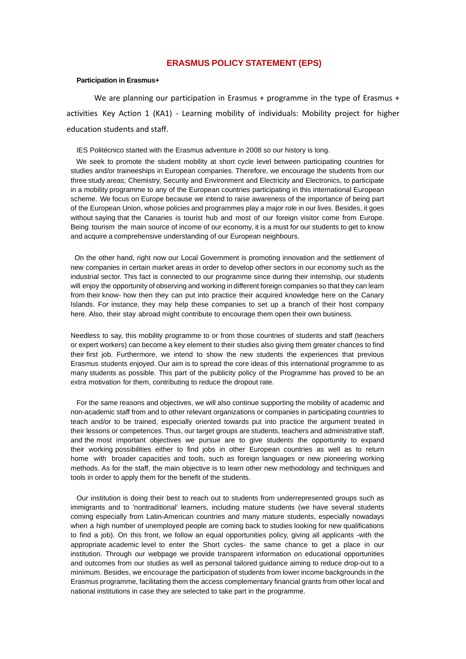### **ERASMUS POLICY STATEMENT (EPS)**

### **Participation in Erasmus+**

We are planning our participation in Erasmus + programme in the type of Erasmus + activities Key Action 1 (KA1) - Learning mobility of individuals: Mobility project for higher education students and staff.

IES Politécnico started with the Erasmus adventure in 2008 so our history is long.

We seek to promote the student mobility at short cycle level between participating countries for studies and/or traineeships in European companies. Therefore, we encourage the students from our three study areas; Chemistry, Security and Environment and Electricity and Electronics, to participate in a mobility programme to any of the European countries participating in this international European scheme. We focus on Europe because we intend to raise awareness of the importance of being part of the European Union, whose policies and programmes play a major role in our lives. Besides, it goes without saying that the Canaries is tourist hub and most of our foreign visitor come from Europe. Being tourism the main source of income of our economy, it is a must for our students to get to know and acquire a comprehensive understanding of our European neighbours.

On the other hand, right now our Local Government is promoting innovation and the settlement of new companies in certain market areas in order to develop other sectors in our economy such as the industrial sector. This fact is connected to our programme since during their internship, our students will enjoy the opportunity of observing and working in different foreign companies so that they can learn from their know- how then they can put into practice their acquired knowledge here on the Canary Islands. For instance, they may help these companies to set up a branch of their host company here. Also, their stay abroad might contribute to encourage them open their own business.

Needless to say, this mobility programme to or from those countries of students and staff (teachers or expert workers) can become a key element to their studies also giving them greater chances to find their first job. Furthermore, we intend to show the new students the experiences that previous Erasmus students enjoyed. Our aim is to spread the core ideas of this international programme to as many students as possible. This part of the publicity policy of the Programme has proved to be an extra motivation for them, contributing to reduce the dropout rate.

For the same reasons and objectives, we will also continue supporting the mobility of academic and non-academic staff from and to other relevant organizations or companies in participating countries to teach and/or to be trained, especially oriented towards put into practice the argument treated in their lessons or competences. Thus, our target groups are students, teachers and administrative staff, and the most important objectives we pursue are to give students the opportunity to expand their working possibilities either to find jobs in other European countries as well as to return home with broader capacities and tools, such as foreign languages or new pioneering working methods. As for the staff, the main objective is to learn other new methodology and techniques and tools in order to apply them for the benefit of the students.

Our institution is doing their best to reach out to students from underrepresented groups such as immigrants and to 'nontraditional' learners, including mature students (we have several students coming especially from Latin-American countries and many mature students, especially nowadays when a high number of unemployed people are coming back to studies looking for new qualifications to find a job). On this front, we follow an equal opportunities policy, giving all applicants -with the appropriate academic level to enter the Short cycles- the same chance to get a place in our institution. Through our webpage we provide transparent information on educational opportunities and outcomes from our studies as well as personal tailored guidance aiming to reduce drop-out to a minimum. Besides, we encourage the participation of students from lower income backgrounds in the Erasmus programme, facilitating them the access complementary financial grants from other local and national institutions in case they are selected to take part in the programme.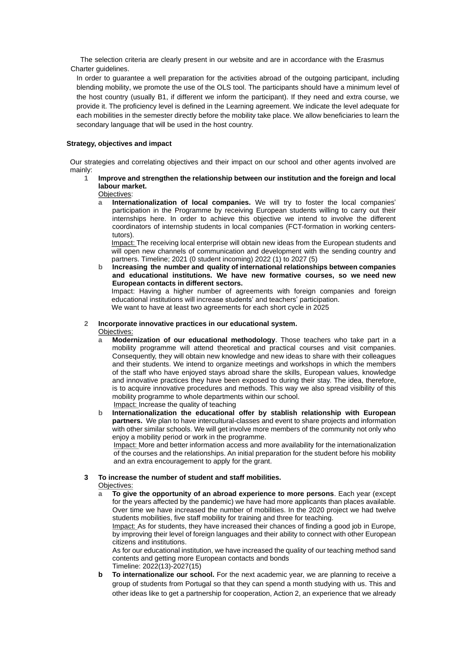The selection criteria are clearly present in our website and are in accordance with the Erasmus Charter guidelines.

In order to guarantee a well preparation for the activities abroad of the outgoing participant, including blending mobility, we promote the use of the OLS tool. The participants should have a minimum level of the host country (usually B1, if different we inform the participant). If they need and extra course, we provide it. The proficiency level is defined in the Learning agreement. We indicate the level adequate for each mobilities in the semester directly before the mobility take place. We allow beneficiaries to learn the secondary language that will be used in the host country.

### **Strategy, objectives and impact**

Our strategies and correlating objectives and their impact on our school and other agents involved are mainly:

# **1 Improve and strengthen the relationship between our institution and the foreign and local labour market.**

Objectives:

**a Internationalization of local companies.** We will try to foster the local companies' participation in the Programme by receiving European students willing to carry out their internships here. In order to achieve this objective we intend to involve the different coordinators of internship students in local companies (FCT-formation in working centerstutors).

Impact: The receiving local enterprise will obtain new ideas from the European students and will open new channels of communication and development with the sending country and partners. Timeline; 2021 (0 student incoming) 2022 (1) to 2027 (5)

**b Increasing the number and quality of international relationships between companies and educational institutions. We have new formative courses, so we need new European contacts in different sectors.** Impact: Having a higher number of agreements with foreign companies and foreign educational institutions will increase students' and teachers' participation.

We want to have at least two agreements for each short cycle in 2025

# **2 Incorporate innovative practices in our educational system.**

Objectives:

- **a Modernization of our educational methodology**. Those teachers who take part in a mobility programme will attend theoretical and practical courses and visit companies. Consequently, they will obtain new knowledge and new ideas to share with their colleagues and their students. We intend to organize meetings and workshops in which the members of the staff who have enjoyed stays abroad share the skills, European values, knowledge and innovative practices they have been exposed to during their stay. The idea, therefore, is to acquire innovative procedures and methods. This way we also spread visibility of this mobility programme to whole departments within our school. Impact: Increase the quality of teaching
- **b Internationalization the educational offer by stablish relationship with European partners.** We plan to have intercultural-classes and event to share projects and information with other similar schools. We will get involve more members of the community not only who enjoy a mobility period or work in the programme.

Impact: More and better information access and more availability for the internationalization of the courses and the relationships. An initial preparation for the student before his mobility and an extra encouragement to apply for the grant.

# **3 To increase the number of student and staff mobilities.**

Objectives:

**a To give the opportunity of an abroad experience to more persons**. Each year (except for the years affected by the pandemic) we have had more applicants than places available. Over time we have increased the number of mobilities. In the 2020 project we had twelve students mobilities, five staff mobility for training and three for teaching.

Impact: As for students, they have increased their chances of finding a good job in Europe, by improving their level of foreign languages and their ability to connect with other European citizens and institutions.

As for our educational institution, we have increased the quality of our teaching method sand contents and getting more European contacts and bonds Timeline: 2022(13)-2027(15)

**b To internationalize our school.** For the next academic year, we are planning to receive a group of students from Portugal so that they can spend a month studying with us. This and other ideas like to get a partnership for cooperation, Action 2, an experience that we already